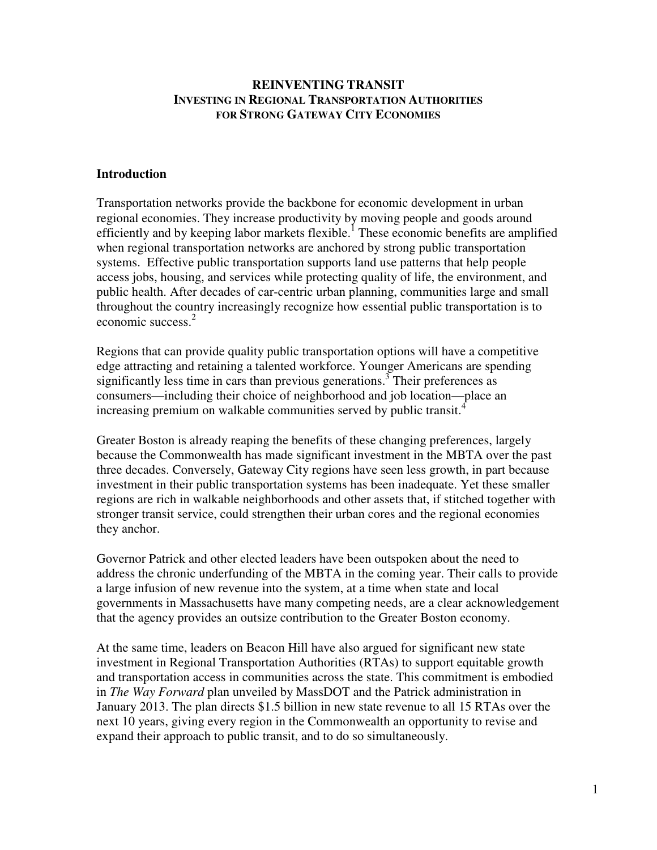## **REINVENTING TRANSIT INVESTING IN REGIONAL TRANSPORTATION AUTHORITIES FOR STRONG GATEWAY CITY ECONOMIES**

### **Introduction**

Transportation networks provide the backbone for economic development in urban regional economies. They increase productivity by moving people and goods around efficiently and by keeping labor markets flexible.<sup>1</sup> These economic benefits are amplified when regional transportation networks are anchored by strong public transportation systems. Effective public transportation supports land use patterns that help people access jobs, housing, and services while protecting quality of life, the environment, and public health. After decades of car-centric urban planning, communities large and small throughout the country increasingly recognize how essential public transportation is to economic success.<sup>2</sup>

Regions that can provide quality public transportation options will have a competitive edge attracting and retaining a talented workforce. Younger Americans are spending significantly less time in cars than previous generations.<sup>3</sup> Their preferences as consumers—including their choice of neighborhood and job location—place an increasing premium on walkable communities served by public transit.<sup>4</sup>

Greater Boston is already reaping the benefits of these changing preferences, largely because the Commonwealth has made significant investment in the MBTA over the past three decades. Conversely, Gateway City regions have seen less growth, in part because investment in their public transportation systems has been inadequate. Yet these smaller regions are rich in walkable neighborhoods and other assets that, if stitched together with stronger transit service, could strengthen their urban cores and the regional economies they anchor.

Governor Patrick and other elected leaders have been outspoken about the need to address the chronic underfunding of the MBTA in the coming year. Their calls to provide a large infusion of new revenue into the system, at a time when state and local governments in Massachusetts have many competing needs, are a clear acknowledgement that the agency provides an outsize contribution to the Greater Boston economy.

At the same time, leaders on Beacon Hill have also argued for significant new state investment in Regional Transportation Authorities (RTAs) to support equitable growth and transportation access in communities across the state. This commitment is embodied in *The Way Forward* plan unveiled by MassDOT and the Patrick administration in January 2013. The plan directs \$1.5 billion in new state revenue to all 15 RTAs over the next 10 years, giving every region in the Commonwealth an opportunity to revise and expand their approach to public transit, and to do so simultaneously.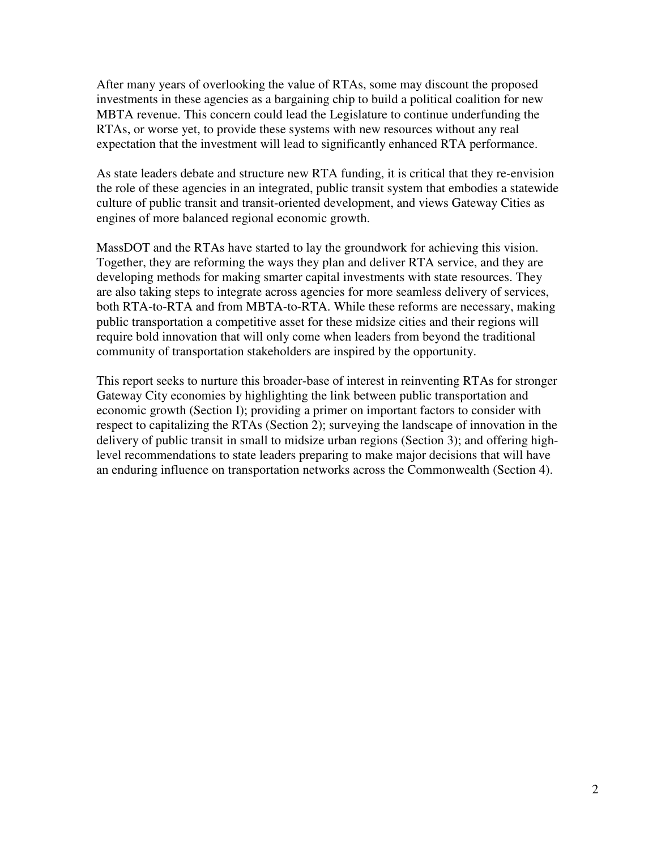After many years of overlooking the value of RTAs, some may discount the proposed investments in these agencies as a bargaining chip to build a political coalition for new MBTA revenue. This concern could lead the Legislature to continue underfunding the RTAs, or worse yet, to provide these systems with new resources without any real expectation that the investment will lead to significantly enhanced RTA performance.

As state leaders debate and structure new RTA funding, it is critical that they re-envision the role of these agencies in an integrated, public transit system that embodies a statewide culture of public transit and transit-oriented development, and views Gateway Cities as engines of more balanced regional economic growth.

MassDOT and the RTAs have started to lay the groundwork for achieving this vision. Together, they are reforming the ways they plan and deliver RTA service, and they are developing methods for making smarter capital investments with state resources. They are also taking steps to integrate across agencies for more seamless delivery of services, both RTA-to-RTA and from MBTA-to-RTA. While these reforms are necessary, making public transportation a competitive asset for these midsize cities and their regions will require bold innovation that will only come when leaders from beyond the traditional community of transportation stakeholders are inspired by the opportunity.

This report seeks to nurture this broader-base of interest in reinventing RTAs for stronger Gateway City economies by highlighting the link between public transportation and economic growth (Section I); providing a primer on important factors to consider with respect to capitalizing the RTAs (Section 2); surveying the landscape of innovation in the delivery of public transit in small to midsize urban regions (Section 3); and offering highlevel recommendations to state leaders preparing to make major decisions that will have an enduring influence on transportation networks across the Commonwealth (Section 4).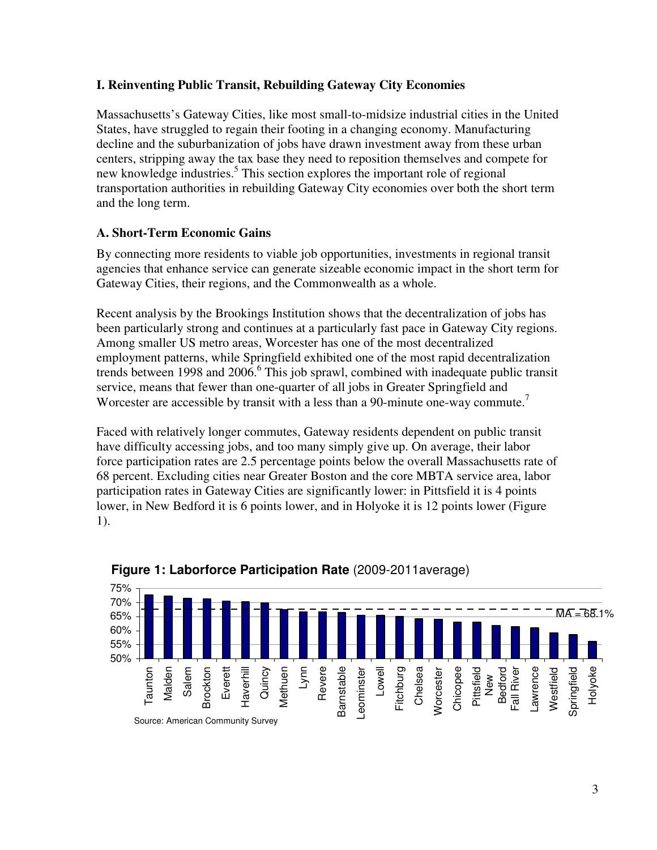# **I. Reinventing Public Transit, Rebuilding Gateway City Economies**

Massachusetts's Gateway Cities, like most small-to-midsize industrial cities in the United States, have struggled to regain their footing in a changing economy. Manufacturing decline and the suburbanization of jobs have drawn investment away from these urban centers, stripping away the tax base they need to reposition themselves and compete for new knowledge industries.<sup>5</sup> This section explores the important role of regional transportation authorities in rebuilding Gateway City economies over both the short term and the long term.

# **A. Short-Term Economic Gains**

By connecting more residents to viable job opportunities, investments in regional transit agencies that enhance service can generate sizeable economic impact in the short term for Gateway Cities, their regions, and the Commonwealth as a whole.

Recent analysis by the Brookings Institution shows that the decentralization of jobs has been particularly strong and continues at a particularly fast pace in Gateway City regions. Among smaller US metro areas, Worcester has one of the most decentralized employment patterns, while Springfield exhibited one of the most rapid decentralization trends between 1998 and  $2006$ .<sup>6</sup> This job sprawl, combined with inadequate public transit service, means that fewer than one-quarter of all jobs in Greater Springfield and Worcester are accessible by transit with a less than a 90-minute one-way commute.<sup>7</sup>

Faced with relatively longer commutes, Gateway residents dependent on public transit have difficulty accessing jobs, and too many simply give up. On average, their labor force participation rates are 2.5 percentage points below the overall Massachusetts rate of 68 percent. Excluding cities near Greater Boston and the core MBTA service area, labor participation rates in Gateway Cities are significantly lower: in Pittsfield it is 4 points lower, in New Bedford it is 6 points lower, and in Holyoke it is 12 points lower (Figure 1).



# **Figure 1: Laborforce Participation Rate** (2009-2011average)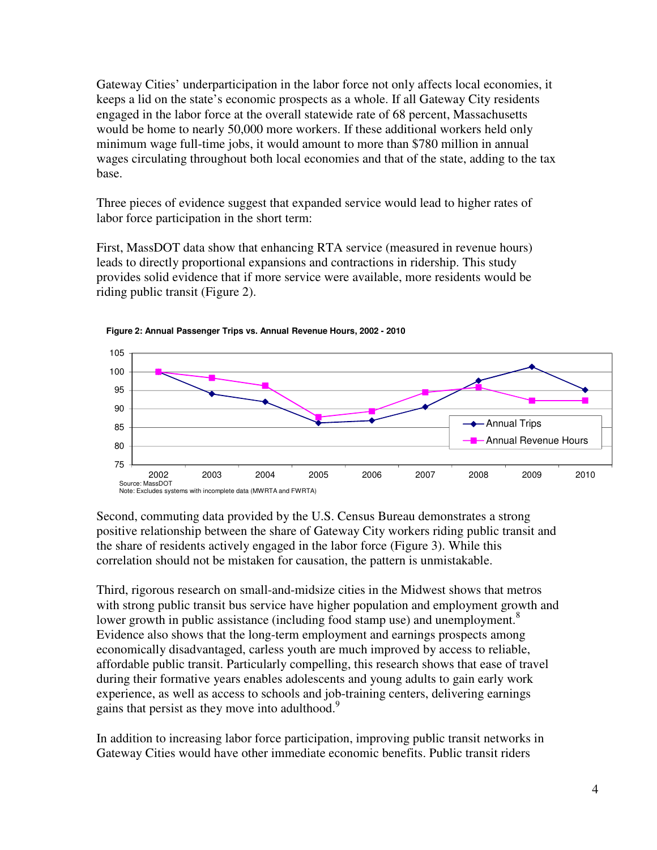Gateway Cities' underparticipation in the labor force not only affects local economies, it keeps a lid on the state's economic prospects as a whole. If all Gateway City residents engaged in the labor force at the overall statewide rate of 68 percent, Massachusetts would be home to nearly 50,000 more workers. If these additional workers held only minimum wage full-time jobs, it would amount to more than \$780 million in annual wages circulating throughout both local economies and that of the state, adding to the tax base.

Three pieces of evidence suggest that expanded service would lead to higher rates of labor force participation in the short term:

First, MassDOT data show that enhancing RTA service (measured in revenue hours) leads to directly proportional expansions and contractions in ridership. This study provides solid evidence that if more service were available, more residents would be riding public transit (Figure 2).





Second, commuting data provided by the U.S. Census Bureau demonstrates a strong positive relationship between the share of Gateway City workers riding public transit and the share of residents actively engaged in the labor force (Figure 3). While this correlation should not be mistaken for causation, the pattern is unmistakable.

Third, rigorous research on small-and-midsize cities in the Midwest shows that metros with strong public transit bus service have higher population and employment growth and lower growth in public assistance (including food stamp use) and unemployment. $8$ Evidence also shows that the long-term employment and earnings prospects among economically disadvantaged, carless youth are much improved by access to reliable, affordable public transit. Particularly compelling, this research shows that ease of travel during their formative years enables adolescents and young adults to gain early work experience, as well as access to schools and job-training centers, delivering earnings gains that persist as they move into adulthood.<sup>9</sup>

In addition to increasing labor force participation, improving public transit networks in Gateway Cities would have other immediate economic benefits. Public transit riders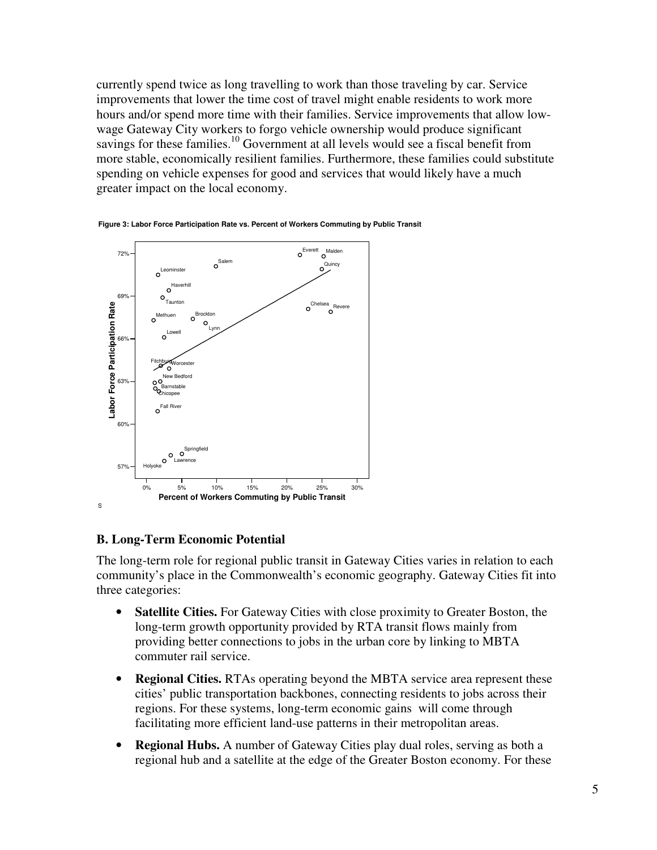currently spend twice as long travelling to work than those traveling by car. Service improvements that lower the time cost of travel might enable residents to work more hours and/or spend more time with their families. Service improvements that allow lowwage Gateway City workers to forgo vehicle ownership would produce significant savings for these families.<sup>10</sup> Government at all levels would see a fiscal benefit from more stable, economically resilient families. Furthermore, these families could substitute spending on vehicle expenses for good and services that would likely have a much greater impact on the local economy.





# **B. Long-Term Economic Potential**

The long-term role for regional public transit in Gateway Cities varies in relation to each community's place in the Commonwealth's economic geography. Gateway Cities fit into three categories:

- **Satellite Cities.** For Gateway Cities with close proximity to Greater Boston, the long-term growth opportunity provided by RTA transit flows mainly from providing better connections to jobs in the urban core by linking to MBTA commuter rail service.
- **Regional Cities.** RTAs operating beyond the MBTA service area represent these cities' public transportation backbones, connecting residents to jobs across their regions. For these systems, long-term economic gains will come through facilitating more efficient land-use patterns in their metropolitan areas.
- **Regional Hubs.** A number of Gateway Cities play dual roles, serving as both a regional hub and a satellite at the edge of the Greater Boston economy. For these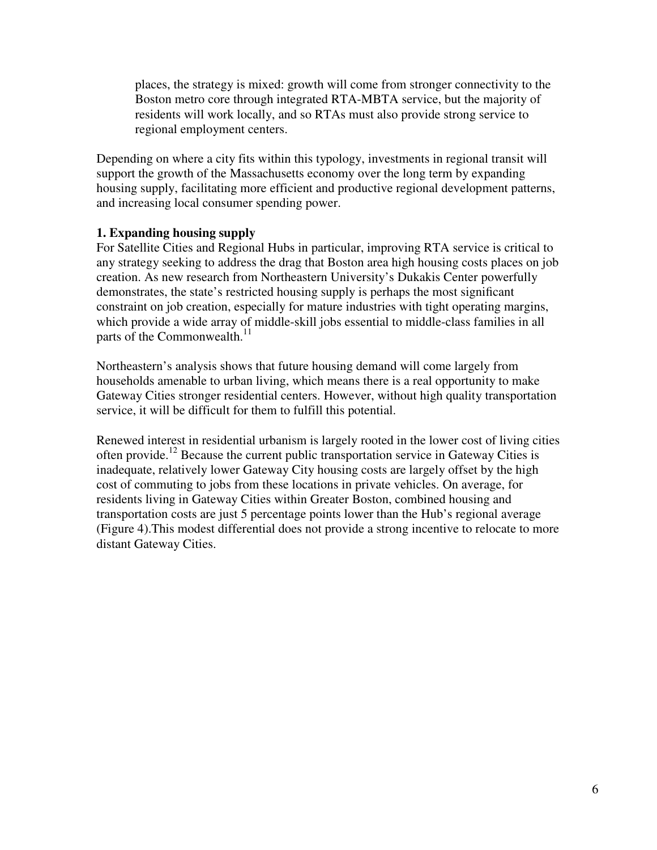places, the strategy is mixed: growth will come from stronger connectivity to the Boston metro core through integrated RTA-MBTA service, but the majority of residents will work locally, and so RTAs must also provide strong service to regional employment centers.

Depending on where a city fits within this typology, investments in regional transit will support the growth of the Massachusetts economy over the long term by expanding housing supply, facilitating more efficient and productive regional development patterns, and increasing local consumer spending power.

# **1. Expanding housing supply**

For Satellite Cities and Regional Hubs in particular, improving RTA service is critical to any strategy seeking to address the drag that Boston area high housing costs places on job creation. As new research from Northeastern University's Dukakis Center powerfully demonstrates, the state's restricted housing supply is perhaps the most significant constraint on job creation, especially for mature industries with tight operating margins, which provide a wide array of middle-skill jobs essential to middle-class families in all parts of the Commonwealth.<sup>11</sup>

Northeastern's analysis shows that future housing demand will come largely from households amenable to urban living, which means there is a real opportunity to make Gateway Cities stronger residential centers. However, without high quality transportation service, it will be difficult for them to fulfill this potential.

Renewed interest in residential urbanism is largely rooted in the lower cost of living cities often provide.<sup>12</sup> Because the current public transportation service in Gateway Cities is inadequate, relatively lower Gateway City housing costs are largely offset by the high cost of commuting to jobs from these locations in private vehicles. On average, for residents living in Gateway Cities within Greater Boston, combined housing and transportation costs are just 5 percentage points lower than the Hub's regional average (Figure 4).This modest differential does not provide a strong incentive to relocate to more distant Gateway Cities.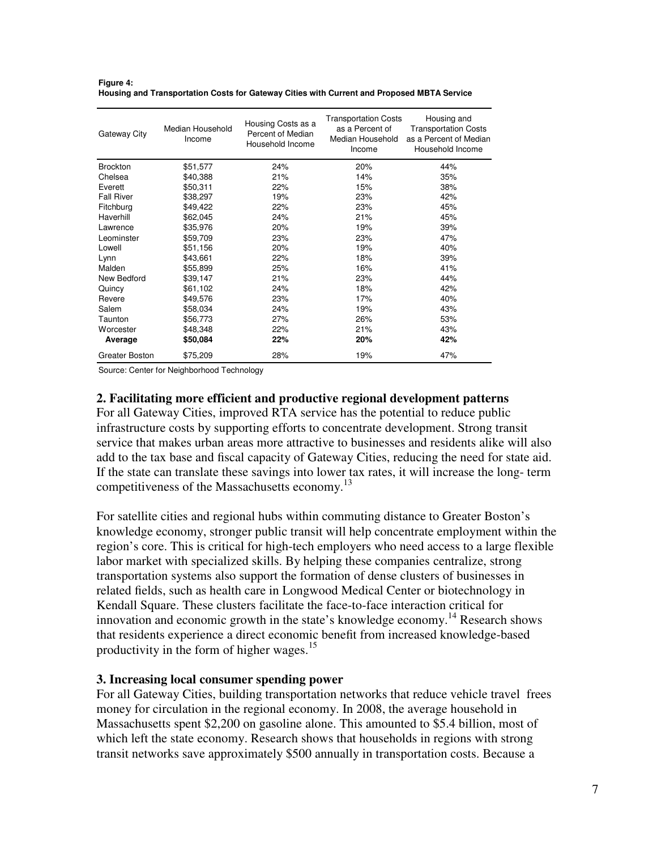| Gateway City      | Median Household<br>Income | Housing Costs as a<br>Percent of Median<br>Household Income | <b>Transportation Costs</b><br>as a Percent of<br>Median Household<br>Income | Housing and<br><b>Transportation Costs</b><br>as a Percent of Median<br>Household Income |
|-------------------|----------------------------|-------------------------------------------------------------|------------------------------------------------------------------------------|------------------------------------------------------------------------------------------|
| <b>Brockton</b>   | \$51,577                   | 24%                                                         | 20%                                                                          | 44%                                                                                      |
| Chelsea           | \$40,388                   | 21%                                                         | 14%                                                                          | 35%                                                                                      |
| Everett           | \$50,311                   | 22%                                                         | 15%                                                                          | 38%                                                                                      |
| <b>Fall River</b> | \$38,297                   | 19%                                                         | 23%                                                                          | 42%                                                                                      |
| Fitchburg         | \$49,422                   | 22%                                                         | 23%                                                                          | 45%                                                                                      |
| Haverhill         | \$62,045                   | 24%                                                         | 21%                                                                          | 45%                                                                                      |
| Lawrence          | \$35,976                   | 20%                                                         | 19%                                                                          | 39%                                                                                      |
| Leominster        | \$59,709                   | 23%                                                         | 23%                                                                          | 47%                                                                                      |
| Lowell            | \$51,156                   | 20%                                                         | 19%                                                                          | 40%                                                                                      |
| Lynn              | \$43,661                   | 22%                                                         | 18%                                                                          | 39%                                                                                      |
| Malden            | \$55,899                   | 25%                                                         | 16%                                                                          | 41%                                                                                      |
| New Bedford       | \$39,147                   | 21%                                                         | 23%                                                                          | 44%                                                                                      |
| Quincy            | \$61,102                   | 24%                                                         | 18%                                                                          | 42%                                                                                      |
| Revere            | \$49,576                   | 23%                                                         | 17%                                                                          | 40%                                                                                      |
| Salem             | \$58,034                   | 24%                                                         | 19%                                                                          | 43%                                                                                      |
| Taunton           | \$56,773                   | 27%                                                         | 26%                                                                          | 53%                                                                                      |

Worcester \$48,348 22% 21% 43% **Average \$50,084 22% 20% 42%** Greater Boston \$75,209 28% 19% 47%

**Figure 4: Housing and Transportation Costs for Gateway Cities with Current and Proposed MBTA Service**

Source: Center for Neighborhood Technology

# **2. Facilitating more efficient and productive regional development patterns**

For all Gateway Cities, improved RTA service has the potential to reduce public infrastructure costs by supporting efforts to concentrate development. Strong transit service that makes urban areas more attractive to businesses and residents alike will also add to the tax base and fiscal capacity of Gateway Cities, reducing the need for state aid. If the state can translate these savings into lower tax rates, it will increase the long- term competitiveness of the Massachusetts economy.<sup>13</sup>

For satellite cities and regional hubs within commuting distance to Greater Boston's knowledge economy, stronger public transit will help concentrate employment within the region's core. This is critical for high-tech employers who need access to a large flexible labor market with specialized skills. By helping these companies centralize, strong transportation systems also support the formation of dense clusters of businesses in related fields, such as health care in Longwood Medical Center or biotechnology in Kendall Square. These clusters facilitate the face-to-face interaction critical for innovation and economic growth in the state's knowledge economy.<sup>14</sup> Research shows that residents experience a direct economic benefit from increased knowledge-based productivity in the form of higher wages.<sup>15</sup>

### **3. Increasing local consumer spending power**

For all Gateway Cities, building transportation networks that reduce vehicle travel frees money for circulation in the regional economy. In 2008, the average household in Massachusetts spent \$2,200 on gasoline alone. This amounted to \$5.4 billion, most of which left the state economy. Research shows that households in regions with strong transit networks save approximately \$500 annually in transportation costs. Because a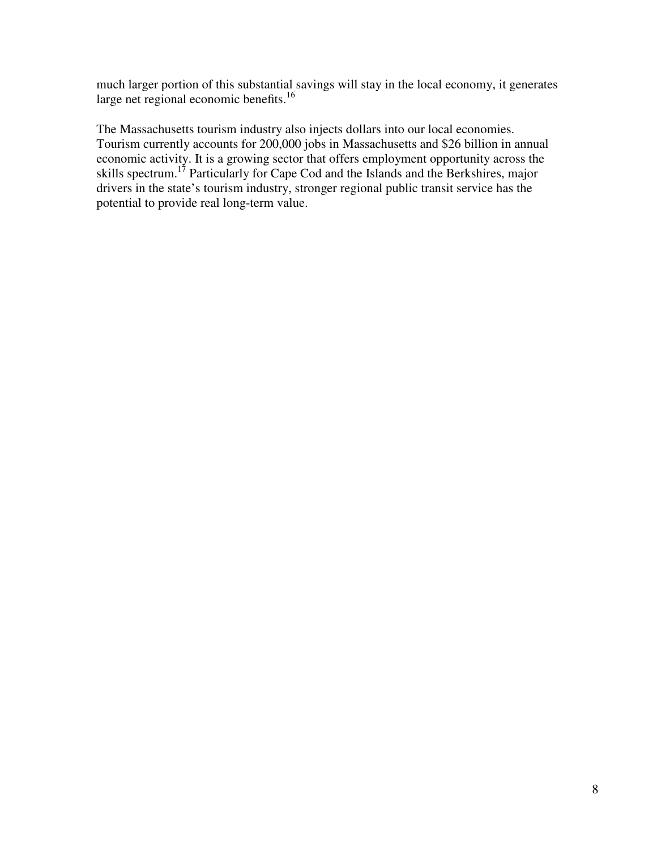much larger portion of this substantial savings will stay in the local economy, it generates large net regional economic benefits.<sup>16</sup>

The Massachusetts tourism industry also injects dollars into our local economies. Tourism currently accounts for 200,000 jobs in Massachusetts and \$26 billion in annual economic activity. It is a growing sector that offers employment opportunity across the skills spectrum.<sup>17</sup> Particularly for Cape Cod and the Islands and the Berkshires, major drivers in the state's tourism industry, stronger regional public transit service has the potential to provide real long-term value.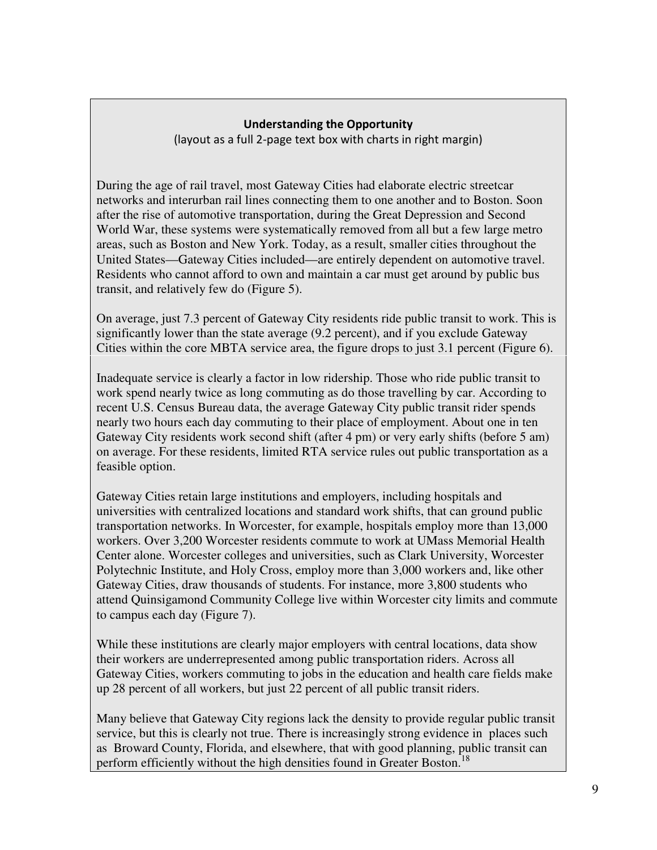# Understanding the Opportunity

(layout as a full 2-page text box with charts in right margin)

During the age of rail travel, most Gateway Cities had elaborate electric streetcar networks and interurban rail lines connecting them to one another and to Boston. Soon after the rise of automotive transportation, during the Great Depression and Second World War, these systems were systematically removed from all but a few large metro areas, such as Boston and New York. Today, as a result, smaller cities throughout the United States—Gateway Cities included—are entirely dependent on automotive travel. Residents who cannot afford to own and maintain a car must get around by public bus transit, and relatively few do (Figure 5).

On average, just 7.3 percent of Gateway City residents ride public transit to work. This is significantly lower than the state average (9.2 percent), and if you exclude Gateway Cities within the core MBTA service area, the figure drops to just 3.1 percent (Figure 6).

Inadequate service is clearly a factor in low ridership. Those who ride public transit to work spend nearly twice as long commuting as do those travelling by car. According to recent U.S. Census Bureau data, the average Gateway City public transit rider spends nearly two hours each day commuting to their place of employment. About one in ten Gateway City residents work second shift (after 4 pm) or very early shifts (before 5 am) on average. For these residents, limited RTA service rules out public transportation as a feasible option.

Gateway Cities retain large institutions and employers, including hospitals and universities with centralized locations and standard work shifts, that can ground public transportation networks. In Worcester, for example, hospitals employ more than 13,000 workers. Over 3,200 Worcester residents commute to work at UMass Memorial Health Center alone. Worcester colleges and universities, such as Clark University, Worcester Polytechnic Institute, and Holy Cross, employ more than 3,000 workers and, like other Gateway Cities, draw thousands of students. For instance, more 3,800 students who attend Quinsigamond Community College live within Worcester city limits and commute to campus each day (Figure 7).

While these institutions are clearly major employers with central locations, data show their workers are underrepresented among public transportation riders. Across all Gateway Cities, workers commuting to jobs in the education and health care fields make up 28 percent of all workers, but just 22 percent of all public transit riders.

Many believe that Gateway City regions lack the density to provide regular public transit service, but this is clearly not true. There is increasingly strong evidence in places such as Broward County, Florida, and elsewhere, that with good planning, public transit can perform efficiently without the high densities found in Greater Boston.<sup>18</sup>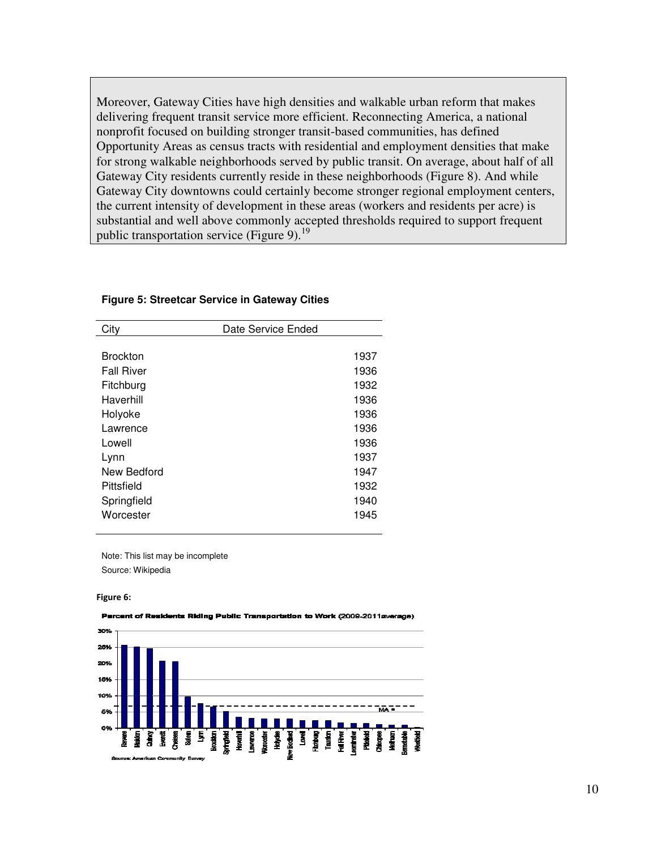Moreover, Gateway Cities have high densities and walkable urban reform that makes delivering frequent transit service more efficient. Reconnecting America, a national nonprofit focused on building stronger transit-based communities, has defined Opportunity Areas as census tracts with residential and employment densities that make for strong walkable neighborhoods served by public transit. On average, about half of all Gateway City residents currently reside in these neighborhoods (Figure 8). And while Gateway City downtowns could certainly become stronger regional employment centers, the current intensity of development in these areas (workers and residents per acre) is substantial and well above commonly accepted thresholds required to support frequent public transportation service (Figure 9).<sup>19</sup>

| City              | Date Service Ended |      |
|-------------------|--------------------|------|
|                   |                    |      |
| <b>Brockton</b>   |                    | 1937 |
| <b>Fall River</b> |                    | 1936 |
| Fitchburg         |                    | 1932 |
| Haverhill         |                    | 1936 |
| Holyoke           |                    | 1936 |
| Lawrence          |                    | 1936 |
| Lowell            |                    | 1936 |
| Lynn              |                    | 1937 |
| New Bedford       |                    | 1947 |
| Pittsfield        |                    | 1932 |
| Springfield       |                    | 1940 |
| Worcester         |                    | 1945 |
|                   |                    |      |

#### **Figure 5: Streetcar Service in Gateway Cities**

Note: This list may be incomplete Source: Wikipedia

#### Figure 6:



#### Perc nt of Residents Riding Public Transportation to Work (2009-2011av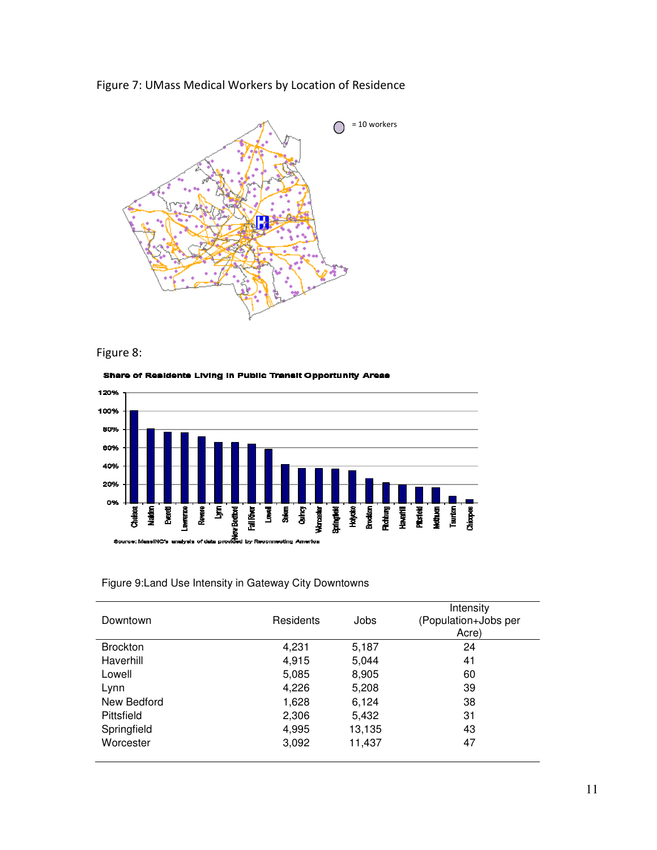







#### Share of Residents Living in Public Transit Opportunity Areas

# Figure 9:Land Use Intensity in Gateway City Downtowns

| Downtown        | Residents | Jobs   | Intensity<br>(Population+Jobs per<br>Acre) |
|-----------------|-----------|--------|--------------------------------------------|
| <b>Brockton</b> | 4,231     | 5,187  | 24                                         |
| Haverhill       | 4,915     | 5,044  | 41                                         |
| Lowell          | 5,085     | 8,905  | 60                                         |
| Lynn            | 4,226     | 5,208  | 39                                         |
| New Bedford     | 1,628     | 6,124  | 38                                         |
| Pittsfield      | 2,306     | 5,432  | 31                                         |
| Springfield     | 4,995     | 13,135 | 43                                         |
| Worcester       | 3,092     | 11,437 | 47                                         |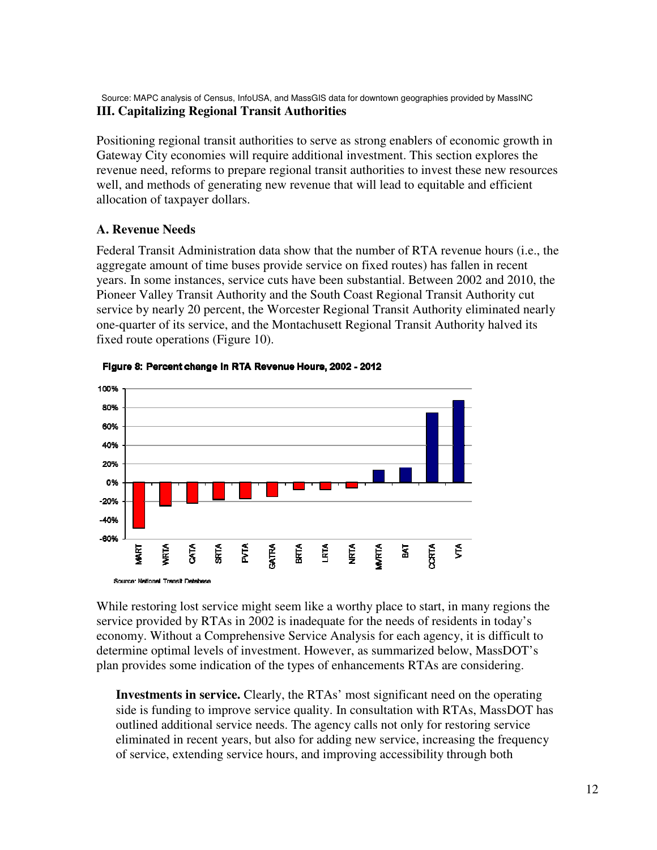Source: MAPC analysis of Census, InfoUSA, and MassGIS data for downtown geographies provided by MassINC **III. Capitalizing Regional Transit Authorities** 

Positioning regional transit authorities to serve as strong enablers of economic growth in Gateway City economies will require additional investment. This section explores the revenue need, reforms to prepare regional transit authorities to invest these new resources well, and methods of generating new revenue that will lead to equitable and efficient allocation of taxpayer dollars.

### **A. Revenue Needs**

Federal Transit Administration data show that the number of RTA revenue hours (i.e., the aggregate amount of time buses provide service on fixed routes) has fallen in recent years. In some instances, service cuts have been substantial. Between 2002 and 2010, the Pioneer Valley Transit Authority and the South Coast Regional Transit Authority cut service by nearly 20 percent, the Worcester Regional Transit Authority eliminated nearly one-quarter of its service, and the Montachusett Regional Transit Authority halved its fixed route operations (Figure 10).



Figure 8: Percent change in RTA Revenue Hours, 2002 - 2012

While restoring lost service might seem like a worthy place to start, in many regions the service provided by RTAs in 2002 is inadequate for the needs of residents in today's economy. Without a Comprehensive Service Analysis for each agency, it is difficult to determine optimal levels of investment. However, as summarized below, MassDOT's plan provides some indication of the types of enhancements RTAs are considering.

**Investments in service.** Clearly, the RTAs' most significant need on the operating side is funding to improve service quality. In consultation with RTAs, MassDOT has outlined additional service needs. The agency calls not only for restoring service eliminated in recent years, but also for adding new service, increasing the frequency of service, extending service hours, and improving accessibility through both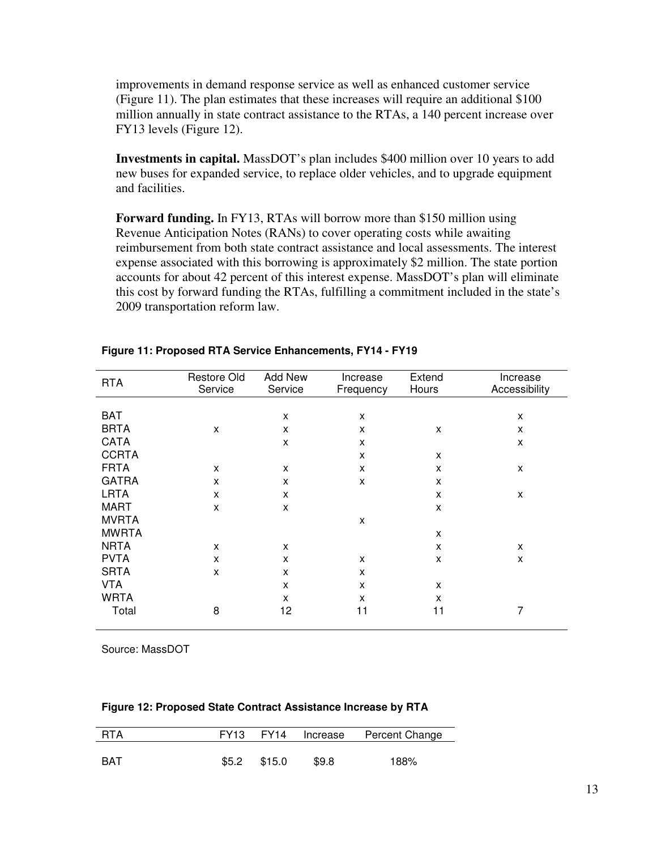improvements in demand response service as well as enhanced customer service (Figure 11). The plan estimates that these increases will require an additional \$100 million annually in state contract assistance to the RTAs, a 140 percent increase over FY13 levels (Figure 12).

**Investments in capital.** MassDOT's plan includes \$400 million over 10 years to add new buses for expanded service, to replace older vehicles, and to upgrade equipment and facilities.

**Forward funding.** In FY13, RTAs will borrow more than \$150 million using Revenue Anticipation Notes (RANs) to cover operating costs while awaiting reimbursement from both state contract assistance and local assessments. The interest expense associated with this borrowing is approximately \$2 million. The state portion accounts for about 42 percent of this interest expense. MassDOT's plan will eliminate this cost by forward funding the RTAs, fulfilling a commitment included in the state's 2009 transportation reform law.

| <b>RTA</b>   | Restore Old<br>Service | Add New<br>Service | Increase<br>Frequency | Extend<br>Hours | Increase<br>Accessibility |
|--------------|------------------------|--------------------|-----------------------|-----------------|---------------------------|
|              |                        |                    |                       |                 |                           |
| <b>BAT</b>   |                        | X                  | X                     |                 | X                         |
| <b>BRTA</b>  | X                      | X                  | X                     | X               | X                         |
| <b>CATA</b>  |                        | X                  | X                     |                 | X                         |
| <b>CCRTA</b> |                        |                    | X                     | X               |                           |
| <b>FRTA</b>  | X                      | X                  | X                     | X               | X                         |
| <b>GATRA</b> | X                      | X                  | X                     | X               |                           |
| <b>LRTA</b>  | X                      | X                  |                       | X               | X                         |
| <b>MART</b>  | X                      | X                  |                       | X               |                           |
| <b>MVRTA</b> |                        |                    | X                     |                 |                           |
| <b>MWRTA</b> |                        |                    |                       | X               |                           |
| <b>NRTA</b>  | X                      | X                  |                       | X               | X                         |
| <b>PVTA</b>  | X                      | X                  | X                     | X               | X                         |
| <b>SRTA</b>  | X                      | X                  | X                     |                 |                           |
| <b>VTA</b>   |                        | X                  | X                     | X               |                           |
| <b>WRTA</b>  |                        | x                  | X                     | X               |                           |
| Total        | 8                      | 12                 | 11                    | 11              | 7                         |

### **Figure 11: Proposed RTA Service Enhancements, FY14 - FY19**

Source: MassDOT

#### **Figure 12: Proposed State Contract Assistance Increase by RTA**

| <b>RTA</b> |              |       | FY13 FY14 Increase Percent Change |
|------------|--------------|-------|-----------------------------------|
| <b>BAT</b> | \$5.2 \$15.0 | \$9.8 | 188%                              |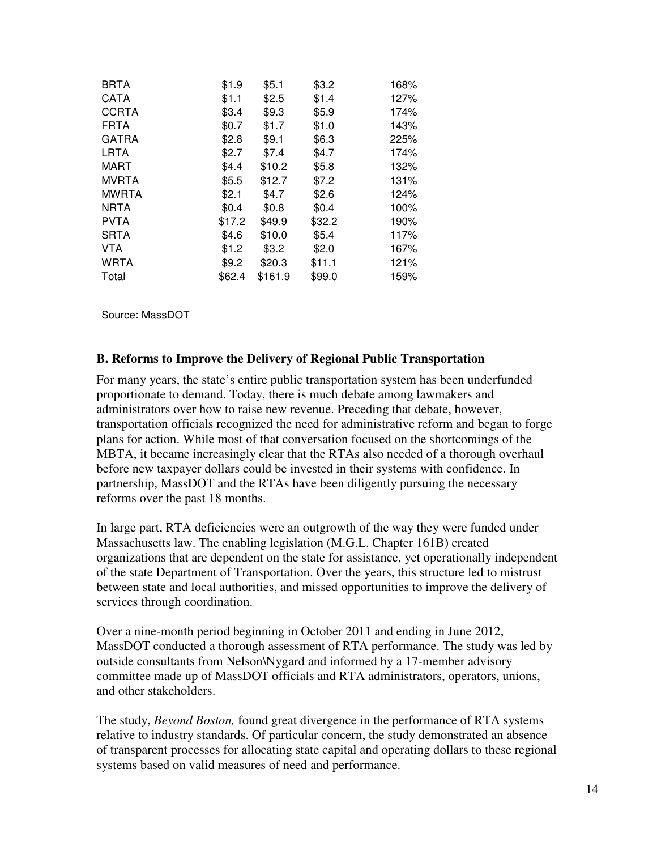| <b>BRTA</b>  | \$1.9  | \$5.1   | \$3.2  | 168% |
|--------------|--------|---------|--------|------|
| <b>CATA</b>  | \$1.1  | \$2.5   | \$1.4  | 127% |
| <b>CCRTA</b> | \$3.4  | \$9.3   | \$5.9  | 174% |
| <b>FRTA</b>  | \$0.7  | \$1.7   | \$1.0  | 143% |
| <b>GATRA</b> | \$2.8  | \$9.1   | \$6.3  | 225% |
| LRTA         | \$2.7  | \$7.4   | \$4.7  | 174% |
| <b>MART</b>  | \$4.4  | \$10.2  | \$5.8  | 132% |
| <b>MVRTA</b> | \$5.5  | \$12.7  | \$7.2  | 131% |
| <b>MWRTA</b> | \$2.1  | \$4.7   | \$2.6  | 124% |
| <b>NRTA</b>  | \$0.4  | \$0.8   | \$0.4  | 100% |
| <b>PVTA</b>  | \$17.2 | \$49.9  | \$32.2 | 190% |
| <b>SRTA</b>  | \$4.6  | \$10.0  | \$5.4  | 117% |
| <b>VTA</b>   | \$1.2  | \$3.2   | \$2.0  | 167% |
| <b>WRTA</b>  | \$9.2  | \$20.3  | \$11.1 | 121% |
| Total        | \$62.4 | \$161.9 | \$99.0 | 159% |
|              |        |         |        |      |

Source: MassDOT

### **B. Reforms to Improve the Delivery of Regional Public Transportation**

For many years, the state's entire public transportation system has been underfunded proportionate to demand. Today, there is much debate among lawmakers and administrators over how to raise new revenue. Preceding that debate, however, transportation officials recognized the need for administrative reform and began to forge plans for action. While most of that conversation focused on the shortcomings of the MBTA, it became increasingly clear that the RTAs also needed of a thorough overhaul before new taxpayer dollars could be invested in their systems with confidence. In partnership, MassDOT and the RTAs have been diligently pursuing the necessary reforms over the past 18 months.

In large part, RTA deficiencies were an outgrowth of the way they were funded under Massachusetts law. The enabling legislation (M.G.L. Chapter 161B) created organizations that are dependent on the state for assistance, yet operationally independent of the state Department of Transportation. Over the years, this structure led to mistrust between state and local authorities, and missed opportunities to improve the delivery of services through coordination.

Over a nine-month period beginning in October 2011 and ending in June 2012, MassDOT conducted a thorough assessment of RTA performance. The study was led by outside consultants from Nelson\Nygard and informed by a 17-member advisory committee made up of MassDOT officials and RTA administrators, operators, unions, and other stakeholders.

The study, *Beyond Boston,* found great divergence in the performance of RTA systems relative to industry standards. Of particular concern, the study demonstrated an absence of transparent processes for allocating state capital and operating dollars to these regional systems based on valid measures of need and performance.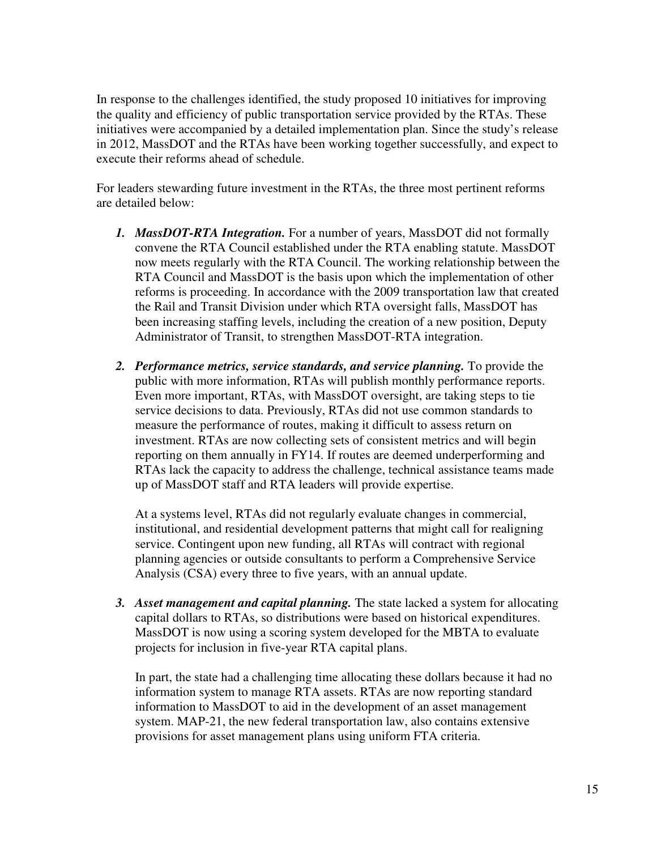In response to the challenges identified, the study proposed 10 initiatives for improving the quality and efficiency of public transportation service provided by the RTAs. These initiatives were accompanied by a detailed implementation plan. Since the study's release in 2012, MassDOT and the RTAs have been working together successfully, and expect to execute their reforms ahead of schedule.

For leaders stewarding future investment in the RTAs, the three most pertinent reforms are detailed below:

- *1. MassDOT-RTA Integration.* For a number of years, MassDOT did not formally convene the RTA Council established under the RTA enabling statute. MassDOT now meets regularly with the RTA Council. The working relationship between the RTA Council and MassDOT is the basis upon which the implementation of other reforms is proceeding. In accordance with the 2009 transportation law that created the Rail and Transit Division under which RTA oversight falls, MassDOT has been increasing staffing levels, including the creation of a new position, Deputy Administrator of Transit, to strengthen MassDOT-RTA integration.
- *2. Performance metrics, service standards, and service planning.* To provide the public with more information, RTAs will publish monthly performance reports. Even more important, RTAs, with MassDOT oversight, are taking steps to tie service decisions to data. Previously, RTAs did not use common standards to measure the performance of routes, making it difficult to assess return on investment. RTAs are now collecting sets of consistent metrics and will begin reporting on them annually in FY14. If routes are deemed underperforming and RTAs lack the capacity to address the challenge, technical assistance teams made up of MassDOT staff and RTA leaders will provide expertise.

At a systems level, RTAs did not regularly evaluate changes in commercial, institutional, and residential development patterns that might call for realigning service. Contingent upon new funding, all RTAs will contract with regional planning agencies or outside consultants to perform a Comprehensive Service Analysis (CSA) every three to five years, with an annual update.

*3. Asset management and capital planning.* The state lacked a system for allocating capital dollars to RTAs, so distributions were based on historical expenditures. MassDOT is now using a scoring system developed for the MBTA to evaluate projects for inclusion in five-year RTA capital plans.

In part, the state had a challenging time allocating these dollars because it had no information system to manage RTA assets. RTAs are now reporting standard information to MassDOT to aid in the development of an asset management system. MAP-21, the new federal transportation law, also contains extensive provisions for asset management plans using uniform FTA criteria.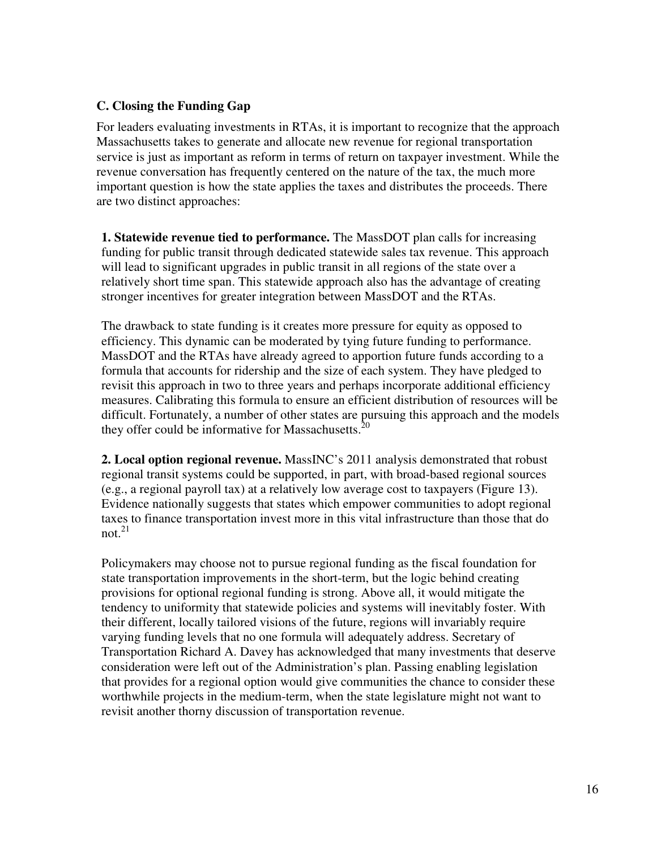# **C. Closing the Funding Gap**

For leaders evaluating investments in RTAs, it is important to recognize that the approach Massachusetts takes to generate and allocate new revenue for regional transportation service is just as important as reform in terms of return on taxpayer investment. While the revenue conversation has frequently centered on the nature of the tax, the much more important question is how the state applies the taxes and distributes the proceeds. There are two distinct approaches:

**1. Statewide revenue tied to performance.** The MassDOT plan calls for increasing funding for public transit through dedicated statewide sales tax revenue. This approach will lead to significant upgrades in public transit in all regions of the state over a relatively short time span. This statewide approach also has the advantage of creating stronger incentives for greater integration between MassDOT and the RTAs.

The drawback to state funding is it creates more pressure for equity as opposed to efficiency. This dynamic can be moderated by tying future funding to performance. MassDOT and the RTAs have already agreed to apportion future funds according to a formula that accounts for ridership and the size of each system. They have pledged to revisit this approach in two to three years and perhaps incorporate additional efficiency measures. Calibrating this formula to ensure an efficient distribution of resources will be difficult. Fortunately, a number of other states are pursuing this approach and the models they offer could be informative for Massachusetts. $20$ 

**2. Local option regional revenue.** MassINC's 2011 analysis demonstrated that robust regional transit systems could be supported, in part, with broad-based regional sources (e.g., a regional payroll tax) at a relatively low average cost to taxpayers (Figure 13). Evidence nationally suggests that states which empower communities to adopt regional taxes to finance transportation invest more in this vital infrastructure than those that do not. $^{21}$ 

Policymakers may choose not to pursue regional funding as the fiscal foundation for state transportation improvements in the short-term, but the logic behind creating provisions for optional regional funding is strong. Above all, it would mitigate the tendency to uniformity that statewide policies and systems will inevitably foster. With their different, locally tailored visions of the future, regions will invariably require varying funding levels that no one formula will adequately address. Secretary of Transportation Richard A. Davey has acknowledged that many investments that deserve consideration were left out of the Administration's plan. Passing enabling legislation that provides for a regional option would give communities the chance to consider these worthwhile projects in the medium-term, when the state legislature might not want to revisit another thorny discussion of transportation revenue.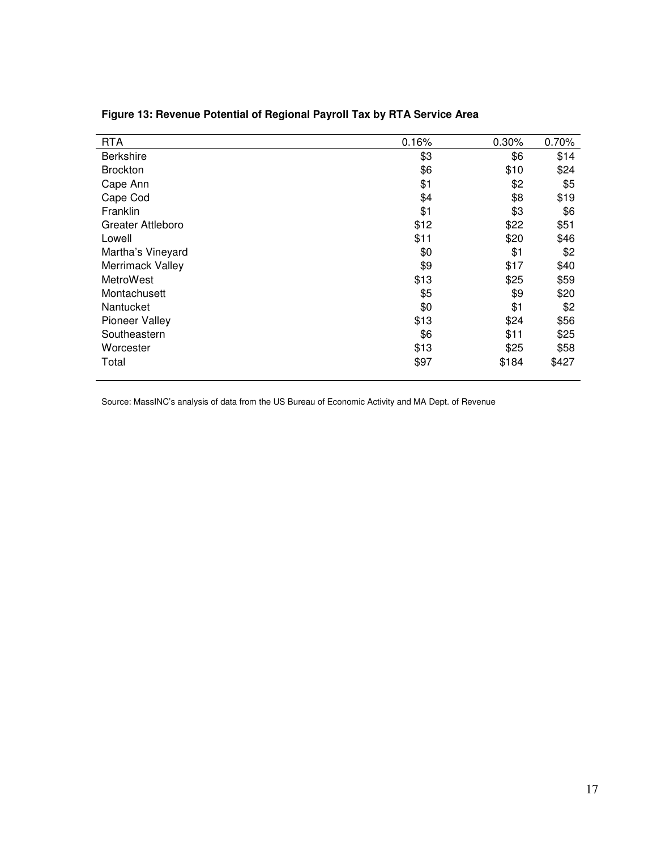| <b>RTA</b>            | 0.16% | 0.30% | 0.70% |
|-----------------------|-------|-------|-------|
| <b>Berkshire</b>      | \$3   | \$6   | \$14  |
| <b>Brockton</b>       | \$6   | \$10  | \$24  |
| Cape Ann              | \$1   | \$2   | \$5   |
| Cape Cod              | \$4   | \$8   | \$19  |
| Franklin              | \$1   | \$3   | \$6   |
| Greater Attleboro     | \$12  | \$22  | \$51  |
| Lowell                | \$11  | \$20  | \$46  |
| Martha's Vineyard     | \$0   | \$1   | \$2   |
| Merrimack Valley      | \$9   | \$17  | \$40  |
| MetroWest             | \$13  | \$25  | \$59  |
| Montachusett          | \$5   | \$9   | \$20  |
| Nantucket             | \$0   | \$1   | \$2   |
| <b>Pioneer Valley</b> | \$13  | \$24  | \$56  |
| Southeastern          | \$6   | \$11  | \$25  |
| Worcester             | \$13  | \$25  | \$58  |
| Total                 | \$97  | \$184 | \$427 |
|                       |       |       |       |

# **Figure 13: Revenue Potential of Regional Payroll Tax by RTA Service Area**

Source: MassINC's analysis of data from the US Bureau of Economic Activity and MA Dept. of Revenue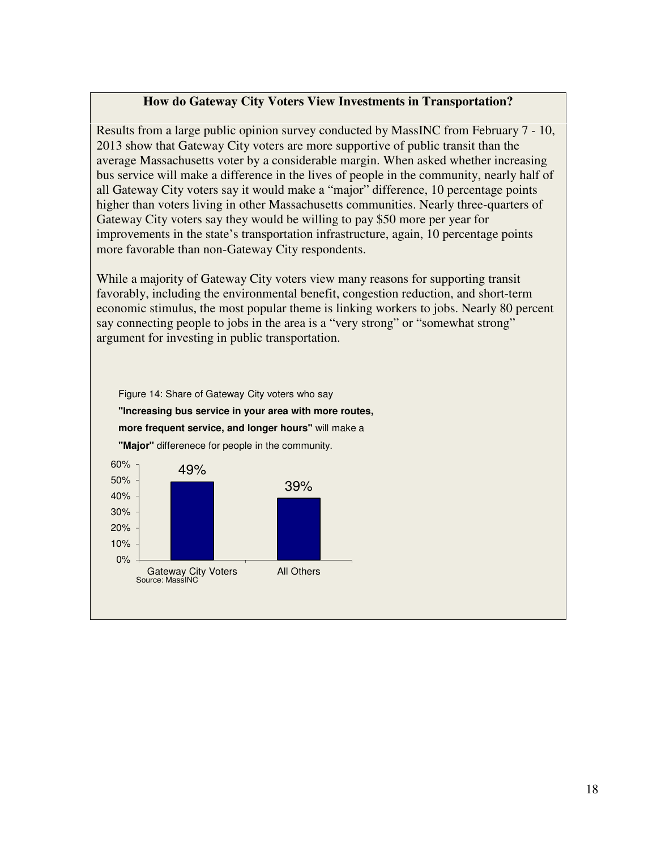### **How do Gateway City Voters View Investments in Transportation?**

Results from a large public opinion survey conducted by MassINC from February 7 - 10, 2013 show that Gateway City voters are more supportive of public transit than the average Massachusetts voter by a considerable margin. When asked whether increasing bus service will make a difference in the lives of people in the community, nearly half of all Gateway City voters say it would make a "major" difference, 10 percentage points higher than voters living in other Massachusetts communities. Nearly three-quarters of Gateway City voters say they would be willing to pay \$50 more per year for improvements in the state's transportation infrastructure, again, 10 percentage points more favorable than non-Gateway City respondents.

While a majority of Gateway City voters view many reasons for supporting transit favorably, including the environmental benefit, congestion reduction, and short-term economic stimulus, the most popular theme is linking workers to jobs. Nearly 80 percent say connecting people to jobs in the area is a "very strong" or "somewhat strong" argument for investing in public transportation.

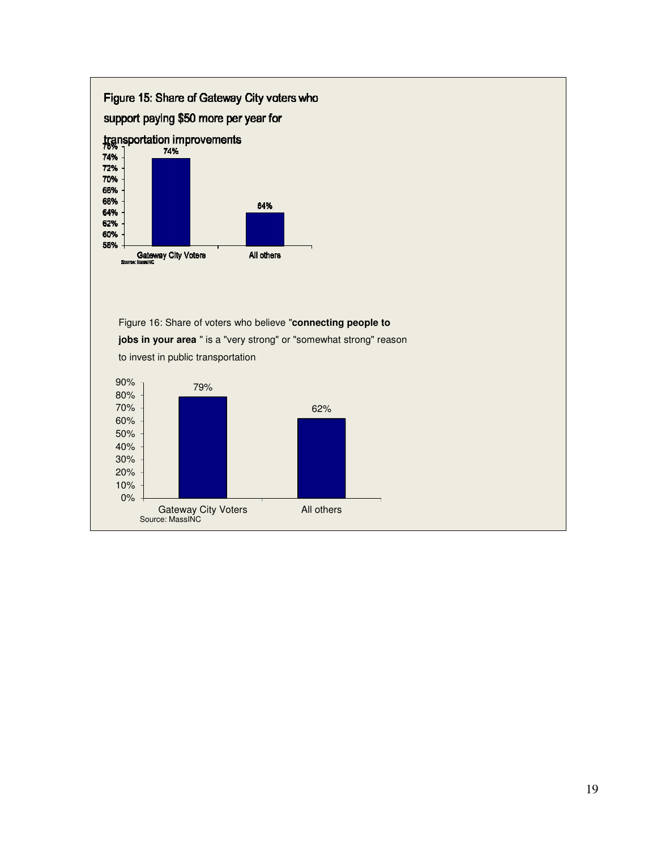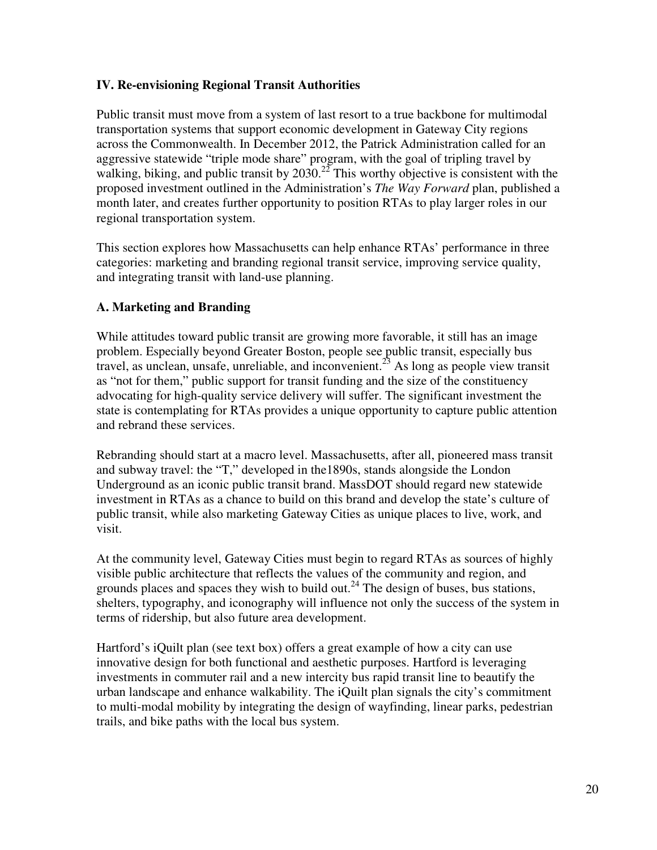# **IV. Re-envisioning Regional Transit Authorities**

Public transit must move from a system of last resort to a true backbone for multimodal transportation systems that support economic development in Gateway City regions across the Commonwealth. In December 2012, the Patrick Administration called for an aggressive statewide "triple mode share" program, with the goal of tripling travel by walking, biking, and public transit by  $2030.<sup>22</sup>$  This worthy objective is consistent with the proposed investment outlined in the Administration's *The Way Forward* plan, published a month later, and creates further opportunity to position RTAs to play larger roles in our regional transportation system.

This section explores how Massachusetts can help enhance RTAs' performance in three categories: marketing and branding regional transit service, improving service quality, and integrating transit with land-use planning.

# **A. Marketing and Branding**

While attitudes toward public transit are growing more favorable, it still has an image problem. Especially beyond Greater Boston, people see public transit, especially bus travel, as unclean, unsafe, unreliable, and inconvenient.<sup>23</sup> As long as people view transit as "not for them," public support for transit funding and the size of the constituency advocating for high-quality service delivery will suffer. The significant investment the state is contemplating for RTAs provides a unique opportunity to capture public attention and rebrand these services.

Rebranding should start at a macro level. Massachusetts, after all, pioneered mass transit and subway travel: the "T," developed in the1890s, stands alongside the London Underground as an iconic public transit brand. MassDOT should regard new statewide investment in RTAs as a chance to build on this brand and develop the state's culture of public transit, while also marketing Gateway Cities as unique places to live, work, and visit.

At the community level, Gateway Cities must begin to regard RTAs as sources of highly visible public architecture that reflects the values of the community and region, and grounds places and spaces they wish to build out.<sup>24</sup> The design of buses, bus stations, shelters, typography, and iconography will influence not only the success of the system in terms of ridership, but also future area development.

Hartford's iQuilt plan (see text box) offers a great example of how a city can use innovative design for both functional and aesthetic purposes. Hartford is leveraging investments in commuter rail and a new intercity bus rapid transit line to beautify the urban landscape and enhance walkability. The iQuilt plan signals the city's commitment to multi-modal mobility by integrating the design of wayfinding, linear parks, pedestrian trails, and bike paths with the local bus system.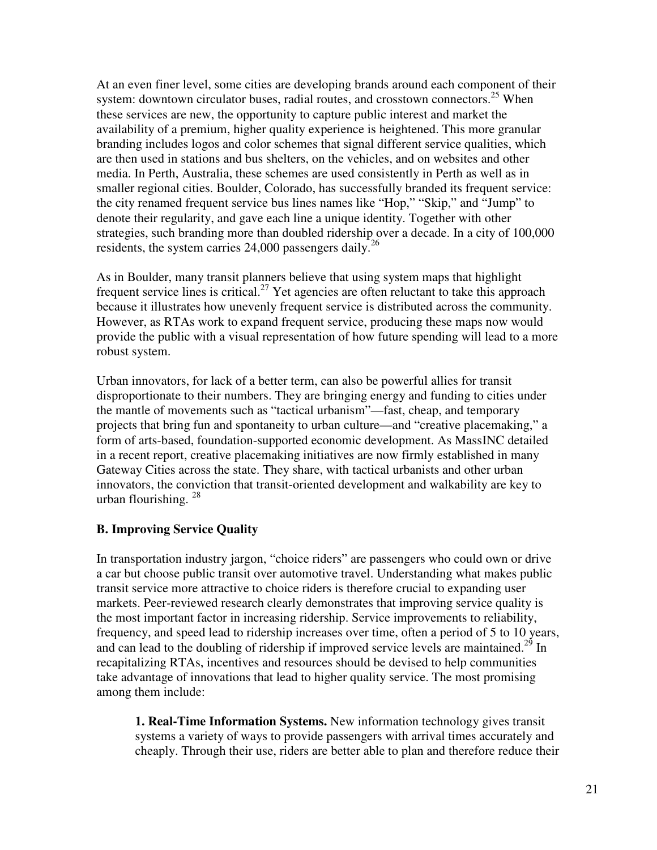At an even finer level, some cities are developing brands around each component of their system: downtown circulator buses, radial routes, and crosstown connectors.<sup>25</sup> When these services are new, the opportunity to capture public interest and market the availability of a premium, higher quality experience is heightened. This more granular branding includes logos and color schemes that signal different service qualities, which are then used in stations and bus shelters, on the vehicles, and on websites and other media. In Perth, Australia, these schemes are used consistently in Perth as well as in smaller regional cities. Boulder, Colorado, has successfully branded its frequent service: the city renamed frequent service bus lines names like "Hop," "Skip," and "Jump" to denote their regularity, and gave each line a unique identity. Together with other strategies, such branding more than doubled ridership over a decade. In a city of 100,000 residents, the system carries  $24,000$  passengers daily.<sup>26</sup>

As in Boulder, many transit planners believe that using system maps that highlight frequent service lines is critical.<sup>27</sup> Yet agencies are often reluctant to take this approach because it illustrates how unevenly frequent service is distributed across the community. However, as RTAs work to expand frequent service, producing these maps now would provide the public with a visual representation of how future spending will lead to a more robust system.

Urban innovators, for lack of a better term, can also be powerful allies for transit disproportionate to their numbers. They are bringing energy and funding to cities under the mantle of movements such as "tactical urbanism"—fast, cheap, and temporary projects that bring fun and spontaneity to urban culture—and "creative placemaking," a form of arts-based, foundation-supported economic development. As MassINC detailed in a recent report, creative placemaking initiatives are now firmly established in many Gateway Cities across the state. They share, with tactical urbanists and other urban innovators, the conviction that transit-oriented development and walkability are key to urban flourishing.<sup>28</sup>

# **B. Improving Service Quality**

In transportation industry jargon, "choice riders" are passengers who could own or drive a car but choose public transit over automotive travel. Understanding what makes public transit service more attractive to choice riders is therefore crucial to expanding user markets. Peer-reviewed research clearly demonstrates that improving service quality is the most important factor in increasing ridership. Service improvements to reliability, frequency, and speed lead to ridership increases over time, often a period of 5 to 10 years, and can lead to the doubling of ridership if improved service levels are maintained.<sup>29</sup> In recapitalizing RTAs, incentives and resources should be devised to help communities take advantage of innovations that lead to higher quality service. The most promising among them include:

**1. Real-Time Information Systems.** New information technology gives transit systems a variety of ways to provide passengers with arrival times accurately and cheaply. Through their use, riders are better able to plan and therefore reduce their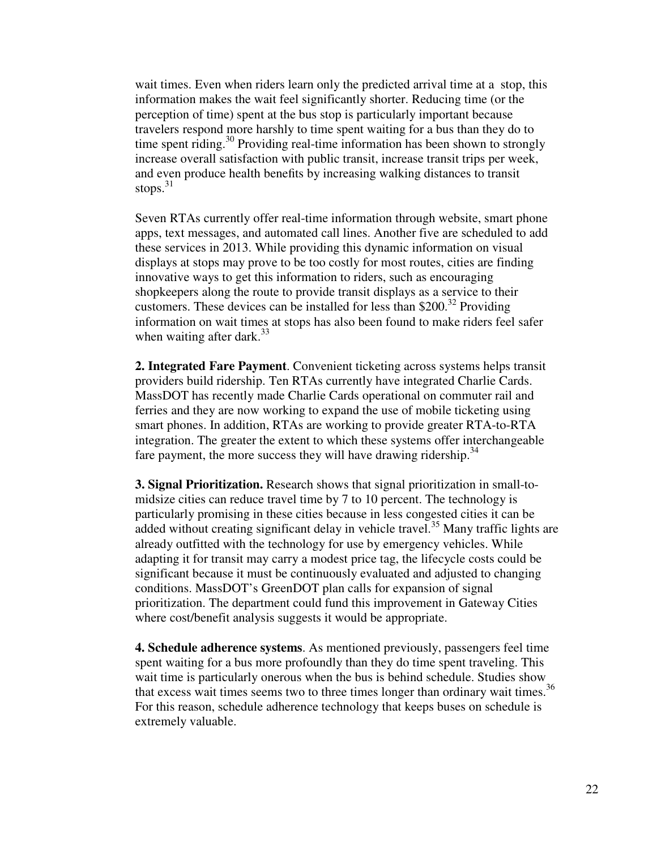wait times. Even when riders learn only the predicted arrival time at a stop, this information makes the wait feel significantly shorter. Reducing time (or the perception of time) spent at the bus stop is particularly important because travelers respond more harshly to time spent waiting for a bus than they do to time spent riding.<sup>30</sup> Providing real-time information has been shown to strongly increase overall satisfaction with public transit, increase transit trips per week, and even produce health benefits by increasing walking distances to transit stops. $31$ 

Seven RTAs currently offer real-time information through website, smart phone apps, text messages, and automated call lines. Another five are scheduled to add these services in 2013. While providing this dynamic information on visual displays at stops may prove to be too costly for most routes, cities are finding innovative ways to get this information to riders, such as encouraging shopkeepers along the route to provide transit displays as a service to their customers. These devices can be installed for less than \$200.<sup>32</sup> Providing information on wait times at stops has also been found to make riders feel safer when waiting after dark. $33$ 

**2. Integrated Fare Payment**. Convenient ticketing across systems helps transit providers build ridership. Ten RTAs currently have integrated Charlie Cards. MassDOT has recently made Charlie Cards operational on commuter rail and ferries and they are now working to expand the use of mobile ticketing using smart phones. In addition, RTAs are working to provide greater RTA-to-RTA integration. The greater the extent to which these systems offer interchangeable fare payment, the more success they will have drawing ridership.<sup>34</sup>

**3. Signal Prioritization.** Research shows that signal prioritization in small-tomidsize cities can reduce travel time by 7 to 10 percent. The technology is particularly promising in these cities because in less congested cities it can be added without creating significant delay in vehicle travel.<sup>35</sup> Many traffic lights are already outfitted with the technology for use by emergency vehicles. While adapting it for transit may carry a modest price tag, the lifecycle costs could be significant because it must be continuously evaluated and adjusted to changing conditions. MassDOT's GreenDOT plan calls for expansion of signal prioritization. The department could fund this improvement in Gateway Cities where cost/benefit analysis suggests it would be appropriate.

**4. Schedule adherence systems**. As mentioned previously, passengers feel time spent waiting for a bus more profoundly than they do time spent traveling. This wait time is particularly onerous when the bus is behind schedule. Studies show that excess wait times seems two to three times longer than ordinary wait times.<sup>36</sup> For this reason, schedule adherence technology that keeps buses on schedule is extremely valuable.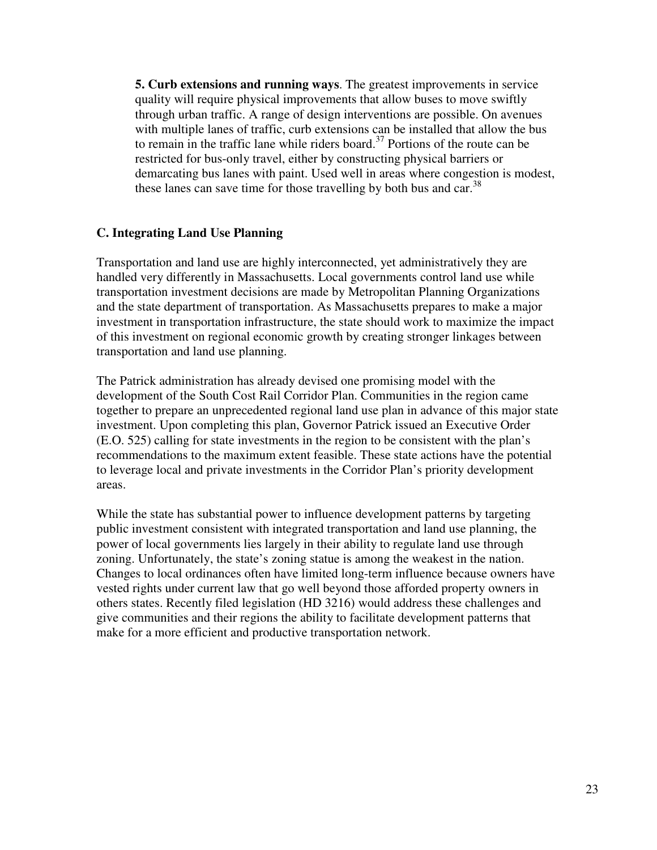**5. Curb extensions and running ways**. The greatest improvements in service quality will require physical improvements that allow buses to move swiftly through urban traffic. A range of design interventions are possible. On avenues with multiple lanes of traffic, curb extensions can be installed that allow the bus to remain in the traffic lane while riders board.<sup>37</sup> Portions of the route can be restricted for bus-only travel, either by constructing physical barriers or demarcating bus lanes with paint. Used well in areas where congestion is modest, these lanes can save time for those travelling by both bus and car.<sup>38</sup>

# **C. Integrating Land Use Planning**

Transportation and land use are highly interconnected, yet administratively they are handled very differently in Massachusetts. Local governments control land use while transportation investment decisions are made by Metropolitan Planning Organizations and the state department of transportation. As Massachusetts prepares to make a major investment in transportation infrastructure, the state should work to maximize the impact of this investment on regional economic growth by creating stronger linkages between transportation and land use planning.

The Patrick administration has already devised one promising model with the development of the South Cost Rail Corridor Plan. Communities in the region came together to prepare an unprecedented regional land use plan in advance of this major state investment. Upon completing this plan, Governor Patrick issued an Executive Order (E.O. 525) calling for state investments in the region to be consistent with the plan's recommendations to the maximum extent feasible. These state actions have the potential to leverage local and private investments in the Corridor Plan's priority development areas.

While the state has substantial power to influence development patterns by targeting public investment consistent with integrated transportation and land use planning, the power of local governments lies largely in their ability to regulate land use through zoning. Unfortunately, the state's zoning statue is among the weakest in the nation. Changes to local ordinances often have limited long-term influence because owners have vested rights under current law that go well beyond those afforded property owners in others states. Recently filed legislation (HD 3216) would address these challenges and give communities and their regions the ability to facilitate development patterns that make for a more efficient and productive transportation network.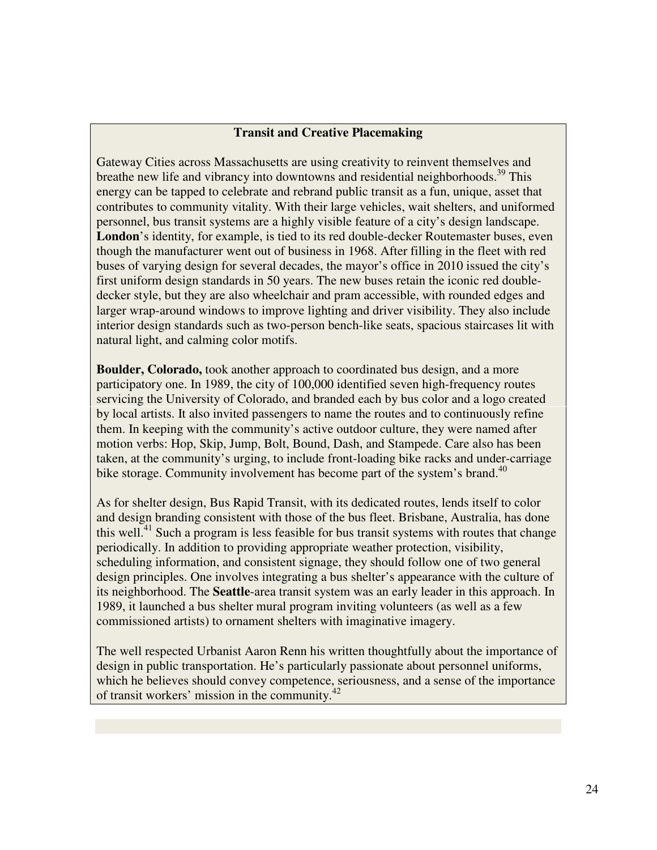# **Transit and Creative Placemaking**

Gateway Cities across Massachusetts are using creativity to reinvent themselves and breathe new life and vibrancy into downtowns and residential neighborhoods.<sup>39</sup> This energy can be tapped to celebrate and rebrand public transit as a fun, unique, asset that contributes to community vitality. With their large vehicles, wait shelters, and uniformed personnel, bus transit systems are a highly visible feature of a city's design landscape. **London**'s identity, for example, is tied to its red double-decker Routemaster buses, even though the manufacturer went out of business in 1968. After filling in the fleet with red buses of varying design for several decades, the mayor's office in 2010 issued the city's first uniform design standards in 50 years. The new buses retain the iconic red doubledecker style, but they are also wheelchair and pram accessible, with rounded edges and larger wrap-around windows to improve lighting and driver visibility. They also include interior design standards such as two-person bench-like seats, spacious staircases lit with natural light, and calming color motifs.

**Boulder, Colorado,** took another approach to coordinated bus design, and a more participatory one. In 1989, the city of 100,000 identified seven high-frequency routes servicing the University of Colorado, and branded each by bus color and a logo created by local artists. It also invited passengers to name the routes and to continuously refine them. In keeping with the community's active outdoor culture, they were named after motion verbs: Hop, Skip, Jump, Bolt, Bound, Dash, and Stampede. Care also has been taken, at the community's urging, to include front-loading bike racks and under-carriage bike storage. Community involvement has become part of the system's brand.<sup>40</sup>

As for shelter design, Bus Rapid Transit, with its dedicated routes, lends itself to color and design branding consistent with those of the bus fleet. Brisbane, Australia, has done this well.<sup>41</sup> Such a program is less feasible for bus transit systems with routes that change periodically. In addition to providing appropriate weather protection, visibility, scheduling information, and consistent signage, they should follow one of two general design principles. One involves integrating a bus shelter's appearance with the culture of its neighborhood. The **Seattle**-area transit system was an early leader in this approach. In 1989, it launched a bus shelter mural program inviting volunteers (as well as a few commissioned artists) to ornament shelters with imaginative imagery.

The well respected Urbanist Aaron Renn his written thoughtfully about the importance of design in public transportation. He's particularly passionate about personnel uniforms, which he believes should convey competence, seriousness, and a sense of the importance of transit workers' mission in the community.<sup>42</sup>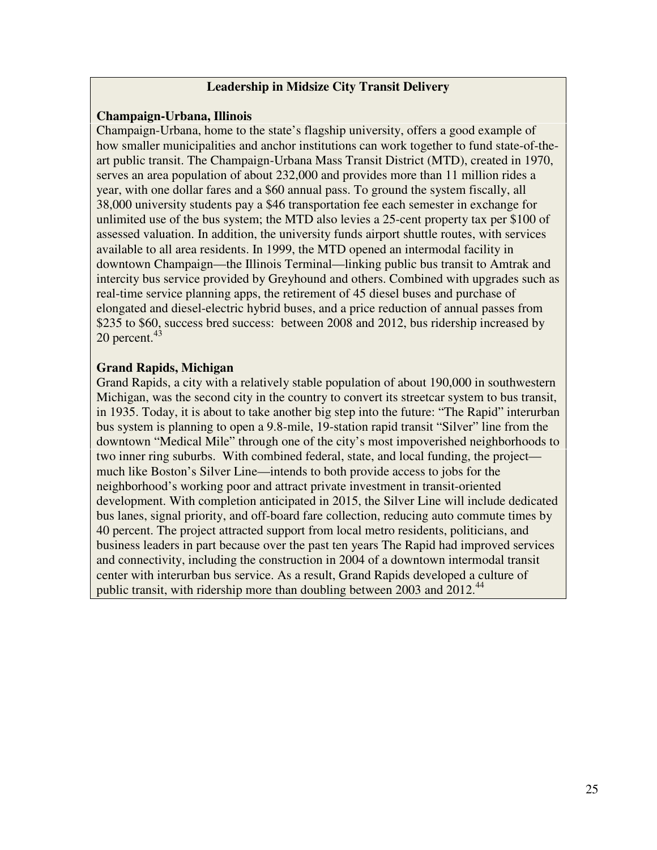## **Leadership in Midsize City Transit Delivery**

### **Champaign-Urbana, Illinois**

Champaign-Urbana, home to the state's flagship university, offers a good example of how smaller municipalities and anchor institutions can work together to fund state-of-theart public transit. The Champaign-Urbana Mass Transit District (MTD), created in 1970, serves an area population of about 232,000 and provides more than 11 million rides a year, with one dollar fares and a \$60 annual pass. To ground the system fiscally, all 38,000 university students pay a \$46 transportation fee each semester in exchange for unlimited use of the bus system; the MTD also levies a 25-cent property tax per \$100 of assessed valuation. In addition, the university funds airport shuttle routes, with services available to all area residents. In 1999, the MTD opened an intermodal facility in downtown Champaign—the Illinois Terminal—linking public bus transit to Amtrak and intercity bus service provided by Greyhound and others. Combined with upgrades such as real-time service planning apps, the retirement of 45 diesel buses and purchase of elongated and diesel-electric hybrid buses, and a price reduction of annual passes from \$235 to \$60, success bred success: between 2008 and 2012, bus ridership increased by 20 percent. $43$ 

### **Grand Rapids, Michigan**

Grand Rapids, a city with a relatively stable population of about 190,000 in southwestern Michigan, was the second city in the country to convert its streetcar system to bus transit, in 1935. Today, it is about to take another big step into the future: "The Rapid" interurban bus system is planning to open a 9.8-mile, 19-station rapid transit "Silver" line from the downtown "Medical Mile" through one of the city's most impoverished neighborhoods to two inner ring suburbs. With combined federal, state, and local funding, the project much like Boston's Silver Line—intends to both provide access to jobs for the neighborhood's working poor and attract private investment in transit-oriented development. With completion anticipated in 2015, the Silver Line will include dedicated bus lanes, signal priority, and off-board fare collection, reducing auto commute times by 40 percent. The project attracted support from local metro residents, politicians, and business leaders in part because over the past ten years The Rapid had improved services and connectivity, including the construction in 2004 of a downtown intermodal transit center with interurban bus service. As a result, Grand Rapids developed a culture of public transit, with ridership more than doubling between 2003 and 2012.<sup>44</sup>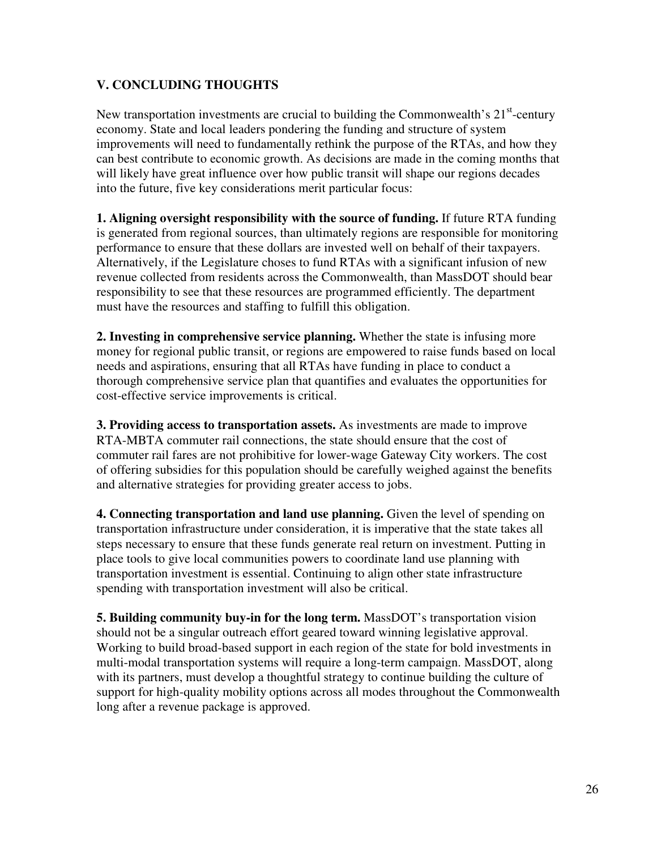# **V. CONCLUDING THOUGHTS**

New transportation investments are crucial to building the Commonwealth's  $21<sup>st</sup>$ -century economy. State and local leaders pondering the funding and structure of system improvements will need to fundamentally rethink the purpose of the RTAs, and how they can best contribute to economic growth. As decisions are made in the coming months that will likely have great influence over how public transit will shape our regions decades into the future, five key considerations merit particular focus:

**1. Aligning oversight responsibility with the source of funding.** If future RTA funding is generated from regional sources, than ultimately regions are responsible for monitoring performance to ensure that these dollars are invested well on behalf of their taxpayers. Alternatively, if the Legislature choses to fund RTAs with a significant infusion of new revenue collected from residents across the Commonwealth, than MassDOT should bear responsibility to see that these resources are programmed efficiently. The department must have the resources and staffing to fulfill this obligation.

**2. Investing in comprehensive service planning.** Whether the state is infusing more money for regional public transit, or regions are empowered to raise funds based on local needs and aspirations, ensuring that all RTAs have funding in place to conduct a thorough comprehensive service plan that quantifies and evaluates the opportunities for cost-effective service improvements is critical.

**3. Providing access to transportation assets.** As investments are made to improve RTA-MBTA commuter rail connections, the state should ensure that the cost of commuter rail fares are not prohibitive for lower-wage Gateway City workers. The cost of offering subsidies for this population should be carefully weighed against the benefits and alternative strategies for providing greater access to jobs.

**4. Connecting transportation and land use planning.** Given the level of spending on transportation infrastructure under consideration, it is imperative that the state takes all steps necessary to ensure that these funds generate real return on investment. Putting in place tools to give local communities powers to coordinate land use planning with transportation investment is essential. Continuing to align other state infrastructure spending with transportation investment will also be critical.

**5. Building community buy-in for the long term.** MassDOT's transportation vision should not be a singular outreach effort geared toward winning legislative approval. Working to build broad-based support in each region of the state for bold investments in multi-modal transportation systems will require a long-term campaign. MassDOT, along with its partners, must develop a thoughtful strategy to continue building the culture of support for high-quality mobility options across all modes throughout the Commonwealth long after a revenue package is approved.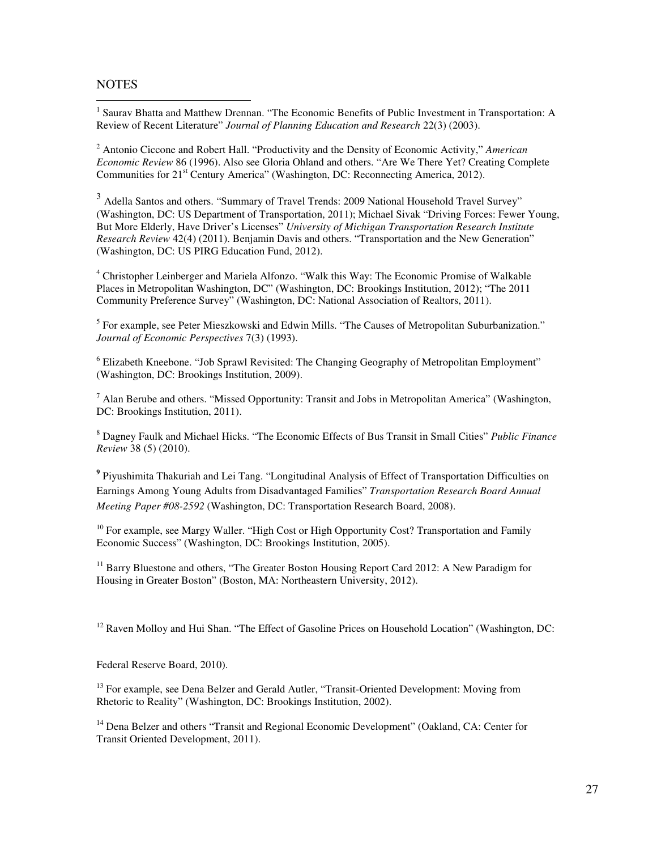### **NOTES**

 $\overline{a}$ 

<sup>1</sup> Saurav Bhatta and Matthew Drennan. "The Economic Benefits of Public Investment in Transportation: A Review of Recent Literature" *Journal of Planning Education and Research* 22(3) (2003).

2 Antonio Ciccone and Robert Hall. "Productivity and the Density of Economic Activity," *American Economic Review* 86 (1996). Also see Gloria Ohland and others. "Are We There Yet? Creating Complete Communities for 21<sup>st</sup> Century America" (Washington, DC: Reconnecting America, 2012).

<sup>3</sup> Adella Santos and others. "Summary of Travel Trends: 2009 National Household Travel Survey" (Washington, DC: US Department of Transportation, 2011); Michael Sivak "Driving Forces: Fewer Young, But More Elderly, Have Driver's Licenses" *University of Michigan Transportation Research Institute Research Review* 42(4) (2011). Benjamin Davis and others. "Transportation and the New Generation" (Washington, DC: US PIRG Education Fund, 2012).

<sup>4</sup> Christopher Leinberger and Mariela Alfonzo. "Walk this Way: The Economic Promise of Walkable Places in Metropolitan Washington, DC" (Washington, DC: Brookings Institution, 2012); "The 2011 Community Preference Survey" (Washington, DC: National Association of Realtors, 2011).

<sup>5</sup> For example, see Peter Mieszkowski and Edwin Mills. "The Causes of Metropolitan Suburbanization." *Journal of Economic Perspectives* 7(3) (1993).

<sup>6</sup> Elizabeth Kneebone. "Job Sprawl Revisited: The Changing Geography of Metropolitan Employment" (Washington, DC: Brookings Institution, 2009).

<sup>7</sup> Alan Berube and others. "Missed Opportunity: Transit and Jobs in Metropolitan America" (Washington, DC: Brookings Institution, 2011).

8 Dagney Faulk and Michael Hicks. "The Economic Effects of Bus Transit in Small Cities" *Public Finance Review* 38 (5) (2010).

<sup>9</sup> Piyushimita Thakuriah and Lei Tang. "Longitudinal Analysis of Effect of Transportation Difficulties on Earnings Among Young Adults from Disadvantaged Families" *Transportation Research Board Annual Meeting Paper #08-2592* (Washington, DC: Transportation Research Board, 2008).

 $10$  For example, see Margy Waller. "High Cost or High Opportunity Cost? Transportation and Family Economic Success" (Washington, DC: Brookings Institution, 2005).

<sup>11</sup> Barry Bluestone and others, "The Greater Boston Housing Report Card 2012: A New Paradigm for Housing in Greater Boston" (Boston, MA: Northeastern University, 2012).

 $12$  Raven Molloy and Hui Shan. "The Effect of Gasoline Prices on Household Location" (Washington, DC:

Federal Reserve Board, 2010).

<sup>13</sup> For example, see Dena Belzer and Gerald Autler, "Transit-Oriented Development: Moving from Rhetoric to Reality" (Washington, DC: Brookings Institution, 2002).

<sup>14</sup> Dena Belzer and others "Transit and Regional Economic Development" (Oakland, CA: Center for Transit Oriented Development, 2011).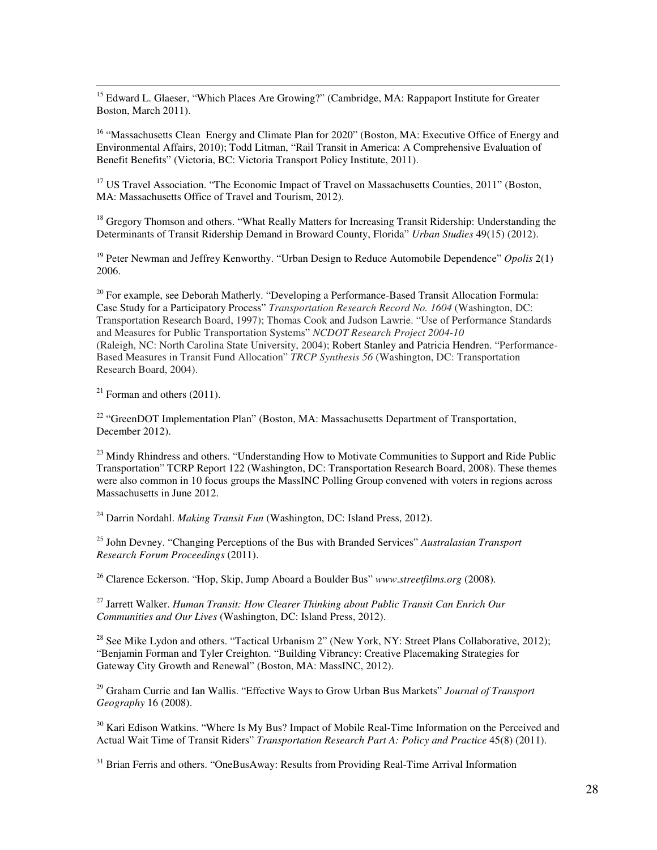$\overline{a}$ <sup>15</sup> Edward L. Glaeser, "Which Places Are Growing?" (Cambridge, MA: Rappaport Institute for Greater Boston, March 2011).

<sup>16</sup> "Massachusetts Clean Energy and Climate Plan for 2020" (Boston, MA: Executive Office of Energy and Environmental Affairs, 2010); Todd Litman, "Rail Transit in America: A Comprehensive Evaluation of Benefit Benefits" (Victoria, BC: Victoria Transport Policy Institute, 2011).

<sup>17</sup> US Travel Association. "The Economic Impact of Travel on Massachusetts Counties, 2011" (Boston, MA: Massachusetts Office of Travel and Tourism, 2012).

<sup>18</sup> Gregory Thomson and others. "What Really Matters for Increasing Transit Ridership: Understanding the Determinants of Transit Ridership Demand in Broward County, Florida" *Urban Studies* 49(15) (2012).

<sup>19</sup> Peter Newman and Jeffrey Kenworthy. "Urban Design to Reduce Automobile Dependence" *Opolis* 2(1) 2006.

 $20$  For example, see Deborah Matherly. "Developing a Performance-Based Transit Allocation Formula: Case Study for a Participatory Process" *Transportation Research Record No. 1604* (Washington, DC: Transportation Research Board, 1997); Thomas Cook and Judson Lawrie. "Use of Performance Standards and Measures for Public Transportation Systems" *NCDOT Research Project 2004-10* (Raleigh, NC: North Carolina State University, 2004); Robert Stanley and Patricia Hendren. "Performance-Based Measures in Transit Fund Allocation" *TRCP Synthesis 56* (Washington, DC: Transportation Research Board, 2004).

 $21$  Forman and others (2011).

<sup>22</sup> "GreenDOT Implementation Plan" (Boston, MA: Massachusetts Department of Transportation, December 2012).

<sup>23</sup> Mindy Rhindress and others. "Understanding How to Motivate Communities to Support and Ride Public Transportation" TCRP Report 122 (Washington, DC: Transportation Research Board, 2008). These themes were also common in 10 focus groups the MassINC Polling Group convened with voters in regions across Massachusetts in June 2012.

<sup>24</sup> Darrin Nordahl. *Making Transit Fun* (Washington, DC: Island Press, 2012).

<sup>25</sup> John Devney. "Changing Perceptions of the Bus with Branded Services" *Australasian Transport Research Forum Proceedings* (2011).

<sup>26</sup> Clarence Eckerson. "Hop, Skip, Jump Aboard a Boulder Bus" *www*.*streetfilms.org* (2008).

<sup>27</sup> Jarrett Walker. *Human Transit: How Clearer Thinking about Public Transit Can Enrich Our Communities and Our Lives* (Washington, DC: Island Press, 2012).

<sup>28</sup> See Mike Lydon and others. "Tactical Urbanism 2" (New York, NY: Street Plans Collaborative, 2012); "Benjamin Forman and Tyler Creighton. "Building Vibrancy: Creative Placemaking Strategies for Gateway City Growth and Renewal" (Boston, MA: MassINC, 2012).

<sup>29</sup> Graham Currie and Ian Wallis. "Effective Ways to Grow Urban Bus Markets" *Journal of Transport Geography* 16 (2008).

 $30$  Kari Edison Watkins. "Where Is My Bus? Impact of Mobile Real-Time Information on the Perceived and Actual Wait Time of Transit Riders" *Transportation Research Part A: Policy and Practice* 45(8) (2011).

 $31$  Brian Ferris and others. "OneBusAway: Results from Providing Real-Time Arrival Information